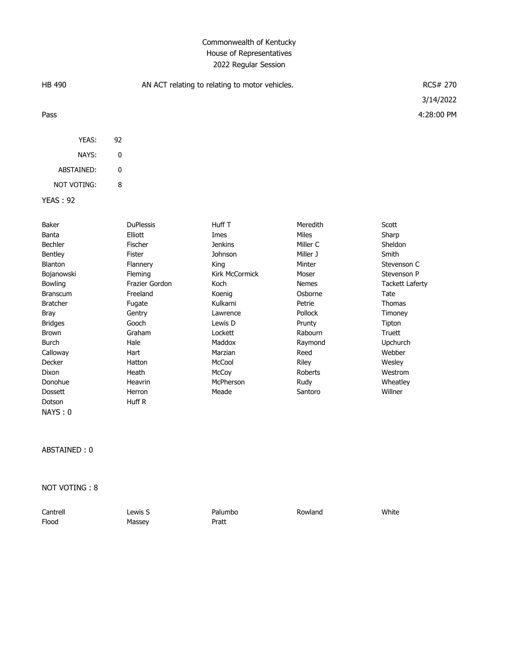## Commonwealth of Kentucky House of Representatives 2022 Regular Session

| <b>HB 490</b><br>AN ACT relating to relating to motor vehicles. |                  |                       | <b>RCS# 270</b> |                         |
|-----------------------------------------------------------------|------------------|-----------------------|-----------------|-------------------------|
| Pass                                                            |                  |                       |                 | 3/14/2022<br>4:28:00 PM |
|                                                                 |                  |                       |                 |                         |
| YEAS:                                                           | 92               |                       |                 |                         |
| NAYS:                                                           | 0                |                       |                 |                         |
| ABSTAINED:                                                      | 0                |                       |                 |                         |
| NOT VOTING:                                                     | 8                |                       |                 |                         |
|                                                                 |                  |                       |                 |                         |
| <b>YEAS: 92</b>                                                 |                  |                       |                 |                         |
| Baker                                                           | <b>DuPlessis</b> | Huff T                | Meredith        | Scott                   |
| Banta                                                           | Elliott          | Imes                  | <b>Miles</b>    | Sharp                   |
| Bechler                                                         | Fischer          | <b>Jenkins</b>        | Miller C        | Sheldon                 |
| Bentley                                                         | <b>Fister</b>    | Johnson               | Miller J        | Smith                   |
| <b>Blanton</b>                                                  | Flannery         | King                  | Minter          | Stevenson C             |
| Bojanowski                                                      | Fleming          | <b>Kirk McCormick</b> | Moser           | Stevenson P             |
| Bowling                                                         | Frazier Gordon   | Koch                  | <b>Nemes</b>    | <b>Tackett Laferty</b>  |
| <b>Branscum</b>                                                 | Freeland         | Koenig                | Osborne         | Tate                    |
| <b>Bratcher</b>                                                 | Fugate           | Kulkarni              | Petrie          | <b>Thomas</b>           |
| Bray                                                            | Gentry           | Lawrence              | Pollock         | Timoney                 |
| <b>Bridges</b>                                                  | Gooch            | Lewis D               | Prunty          | Tipton                  |
| <b>Brown</b>                                                    | Graham           | Lockett               | Rabourn         | <b>Truett</b>           |
| <b>Burch</b>                                                    | Hale             | Maddox                | Raymond         | Upchurch                |
| Calloway                                                        | Hart             | Marzian               | Reed            | Webber                  |
| Decker                                                          | Hatton           | McCool                | Riley           | Wesley                  |
| Dixon                                                           | Heath            | McCoy                 | Roberts         | Westrom                 |

ABSTAINED : 0

NAYS : 0

Dotson Huff R

NOT VOTING : 8

| Cantrell | Lewis S | Palumbo | Rowland | White |
|----------|---------|---------|---------|-------|
| Flood    | Massey  | Pratt   |         |       |

Donohue Heavrin McPherson Rudy Wheatley Dossett Herron Meade Santoro Willner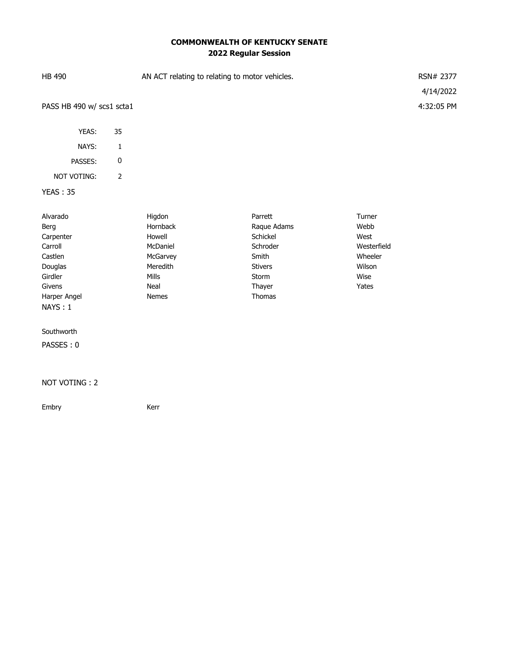## **COMMONWEALTH OF KENTUCKY SENATE 2022 Regular Session**

| HB 490                    |    | AN ACT relating to relating to motor vehicles. | RSN# 2377  |
|---------------------------|----|------------------------------------------------|------------|
|                           |    |                                                | 4/14/2022  |
| PASS HB 490 w/ scs1 scta1 |    |                                                | 4:32:05 PM |
|                           |    |                                                |            |
| YEAS:                     | 35 |                                                |            |
| NAYS:                     | 1  |                                                |            |
| PASSES:                   | 0  |                                                |            |
| <b>NOT VOTING:</b>        | 2  |                                                |            |
| <b>YEAS: 35</b>           |    |                                                |            |

| Alvarado     | Higdon          | Parrett        | Turner      |
|--------------|-----------------|----------------|-------------|
| Berg         | <b>Hornback</b> | Raque Adams    | Webb        |
| Carpenter    | Howell          | Schickel       | West        |
| Carroll      | McDaniel        | Schroder       | Westerfield |
| Castlen      | McGarvey        | Smith          | Wheeler     |
| Douglas      | Meredith        | <b>Stivers</b> | Wilson      |
| Girdler      | Mills           | Storm          | Wise        |
| Givens       | Neal            | Thayer         | Yates       |
| Harper Angel | <b>Nemes</b>    | <b>Thomas</b>  |             |
| NAYS:1       |                 |                |             |

Southworth

PASSES : 0

## NOT VOTING : 2

Embry **Kerr**